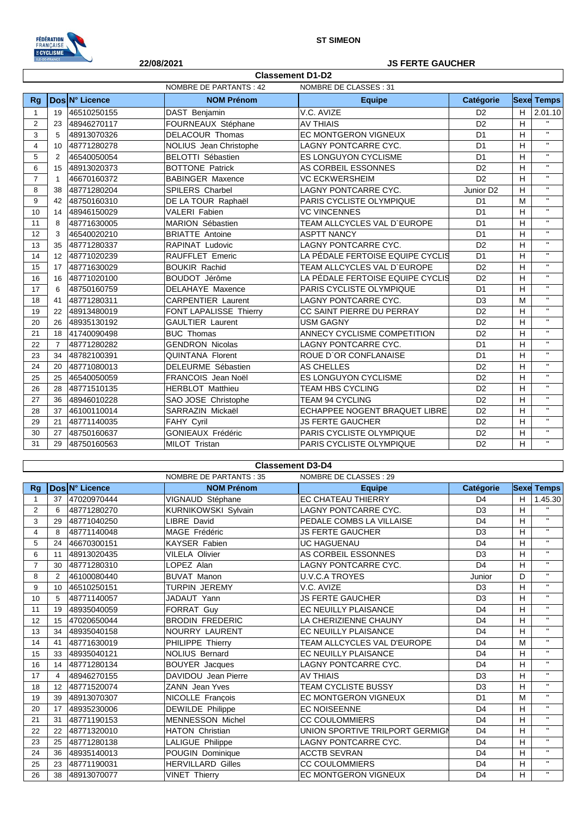

Г

## **22/08/2021 JS FERTE GAUCHER**

 $\overline{\phantom{a}}$ 

| <b>Classement D1-D2</b>                          |                |                |                           |                                  |                       |    |                   |  |
|--------------------------------------------------|----------------|----------------|---------------------------|----------------------------------|-----------------------|----|-------------------|--|
| NOMBRE DE PARTANTS : 42<br>NOMBRE DE CLASSES: 31 |                |                |                           |                                  |                       |    |                   |  |
| <b>Rg</b>                                        |                | Dos N° Licence | <b>NOM Prénom</b>         | <b>Equipe</b>                    | Catégorie             |    | <b>Sexe Temps</b> |  |
| $\mathbf{1}$                                     | 19             | 46510250155    | DAST Benjamin             | V.C. AVIZE                       | D <sub>2</sub>        | H  | 2.01.10           |  |
| $\overline{2}$                                   | 23             | 48946270117    | FOURNEAUX Stéphane        | <b>AV THIAIS</b>                 | D <sub>2</sub>        | H  | $\mathbf{H}$      |  |
| 3                                                | 5              | 48913070326    | <b>DELACOUR Thomas</b>    | <b>EC MONTGERON VIGNEUX</b>      | D <sub>1</sub>        | H. | $\mathbf{H}$      |  |
| 4                                                | 10             | 48771280278    | NOLIUS Jean Christophe    | <b>LAGNY PONTCARRE CYC.</b>      | D <sub>1</sub>        | H  | $\mathbf{H}$      |  |
| 5                                                | 2              | 46540050054    | <b>BELOTTI Sébastien</b>  | <b>ES LONGUYON CYCLISME</b>      | D <sub>1</sub>        | н  | $\mathbf{H}$      |  |
| 6                                                | 15             | 48913020373    | <b>BOTTONE Patrick</b>    | AS CORBEIL ESSONNES              | D <sub>2</sub>        | H  | $\mathbf{H}$      |  |
| $\overline{7}$                                   | $\overline{1}$ | 46670160372    | <b>BABINGER Maxence</b>   | <b>VC ECKWERSHEIM</b>            | D <sub>2</sub>        | н  | $\mathbf{H}$      |  |
| 8                                                | 38             | 48771280204    | SPILERS Charbel           | LAGNY PONTCARRE CYC.             | Junior D <sub>2</sub> | H  | $\mathsf{H}$      |  |
| 9                                                | 42             | 48750160310    | DE LA TOUR Raphaël        | PARIS CYCLISTE OLYMPIQUE         | D <sub>1</sub>        | M  | $\mathsf{H}$      |  |
| 10                                               | 14             | 48946150029    | <b>VALERI Fabien</b>      | <b>VC VINCENNES</b>              | D <sub>1</sub>        | H  | $\mathbf{H}$      |  |
| 11                                               | 8              | 48771630005    | MARION Sébastien          | TEAM ALLCYCLES VAL D`EUROPE      | D <sub>1</sub>        | н  | $\mathbf{H}$      |  |
| 12                                               | 3              | 46540020210    | <b>BRIATTE Antoine</b>    | <b>ASPTT NANCY</b>               | D <sub>1</sub>        | H  | $\mathbf{H}$      |  |
| 13                                               | 35             | 48771280337    | <b>RAPINAT Ludovic</b>    | <b>LAGNY PONTCARRE CYC.</b>      | D <sub>2</sub>        | H  | $\mathbf{H}$      |  |
| 14                                               | 12             | 48771020239    | RAUFFLET Emeric           | LA PÉDALE FERTOISE EQUIPE CYCLIS | D <sub>1</sub>        | н  | $\mathbf{H}$      |  |
| 15                                               | 17             | 48771630029    | <b>BOUKIR Rachid</b>      | TEAM ALLCYCLES VAL D'EUROPE      | D <sub>2</sub>        | H  | $\mathbf{H}$      |  |
| 16                                               | 16             | 48771020100    | BOUDOT Jérôme             | LA PÉDALE FERTOISE EQUIPE CYCLIS | D <sub>2</sub>        | H  | $\mathbf{H}$      |  |
| 17                                               | 6              | 48750160759    | <b>DELAHAYE Maxence</b>   | PARIS CYCLISTE OLYMPIQUE         | D <sub>1</sub>        | H  | $\mathbf{H}$      |  |
| 18                                               | 41             | 48771280311    | <b>CARPENTIER Laurent</b> | <b>LAGNY PONTCARRE CYC.</b>      | D <sub>3</sub>        | M  | $\mathbf{H}$      |  |
| 19                                               | 22             | 48913480019    | FONT LAPALISSE Thierry    | CC SAINT PIERRE DU PERRAY        | D <sub>2</sub>        | н  | $\mathbf{H}$      |  |
| 20                                               | 26             | 48935130192    | <b>GAULTIER Laurent</b>   | <b>USM GAGNY</b>                 | D <sub>2</sub>        | H  | $\mathbf{H}$      |  |
| 21                                               | 18             | 41740090498    | <b>BUC Thomas</b>         | ANNECY CYCLISME COMPETITION      | D <sub>2</sub>        | H  | $\mathbf{H}$      |  |
| 22                                               | $\overline{7}$ | 48771280282    | <b>GENDRON Nicolas</b>    | LAGNY PONTCARRE CYC.             | D <sub>1</sub>        | H  | $\mathbf{H}$      |  |
| 23                                               | 34             | 48782100391    | QUINTANA Florent          | ROUE D'OR CONFLANAISE            | D <sub>1</sub>        | H  | $\mathbf{H}$      |  |
| 24                                               | 20             | 48771080013    | DELEURME Sébastien        | <b>AS CHELLES</b>                | D <sub>2</sub>        | H  | $\mathbf{H}$      |  |
| 25                                               | 25             | 46540050059    | FRANCOIS Jean Noël        | ES LONGUYON CYCLISME             | D <sub>2</sub>        | H  | $\mathbf{H}$      |  |
| 26                                               | 28             | 48771510135    | <b>HERBLOT Matthieu</b>   | <b>TEAM HBS CYCLING</b>          | D <sub>2</sub>        | H  | $\mathbf{H}$      |  |
| 27                                               | 36             | 48946010228    | SAO JOSE Christophe       | <b>TEAM 94 CYCLING</b>           | D <sub>2</sub>        | H  | $\mathbf{H}$      |  |
| 28                                               | 37             | 46100110014    | SARRAZIN Mickaël          | ECHAPPEE NOGENT BRAQUET LIBRE    | D <sub>2</sub>        | H  | $\mathbf{H}$      |  |
| 29                                               | 21             | 48771140035    | FAHY Cyril                | <b>JS FERTE GAUCHER</b>          | D <sub>2</sub>        | H  | $\mathbf{H}$      |  |
| 30                                               | 27             | 48750160637    | <b>GONIEAUX Frédéric</b>  | PARIS CYCLISTE OLYMPIQUE         | D <sub>2</sub>        | H  | $\mathbf{H}$      |  |
| 31                                               | 29             | 48750160563    | MILOT Tristan             | PARIS CYCLISTE OLYMPIQUE         | D <sub>2</sub>        | H  | $\mathbf{H}$      |  |

| <b>Classement D3-D4</b> |                                                         |                |                          |                                 |                |   |                   |
|-------------------------|---------------------------------------------------------|----------------|--------------------------|---------------------------------|----------------|---|-------------------|
|                         | <b>NOMBRE DE PARTANTS: 35</b><br>NOMBRE DE CLASSES : 29 |                |                          |                                 |                |   |                   |
| <b>Rg</b>               |                                                         | Dos N° Licence | <b>NOM Prénom</b>        | <b>Equipe</b>                   | Catégorie      |   | <b>Sexe Temps</b> |
|                         | 37                                                      | 47020970444    | VIGNAUD Stéphane         | <b>EC CHATEAU THIERRY</b>       | D <sub>4</sub> | H | 1.45.30           |
| 2                       | 6                                                       | 48771280270    | KURNIKOWSKI Sylvain      | LAGNY PONTCARRE CYC.            | D <sub>3</sub> | H | $\mathbf{H}$      |
| 3                       | 29                                                      | 48771040250    | <b>LIBRE David</b>       | PEDALE COMBS LA VILLAISE        | D <sub>4</sub> | н | $\mathbf{H}$      |
| 4                       | 8                                                       | 48771140048    | MAGE Frédéric            | <b>JS FERTE GAUCHER</b>         | D <sub>3</sub> | H | $\mathbf{H}$      |
| 5                       | 24                                                      | 46670300151    | <b>KAYSER Fabien</b>     | <b>UC HAGUENAU</b>              | D <sub>4</sub> | H | $\mathbf{H}$      |
| 6                       | 11                                                      | 48913020435    | VILELA Olivier           | AS CORBEIL ESSONNES             | D <sub>3</sub> | H | $\mathbf{H}$      |
| $\overline{7}$          | 30                                                      | 48771280310    | LOPEZ Alan               | <b>LAGNY PONTCARRE CYC.</b>     | D <sub>4</sub> | н | $\mathbf{H}$      |
| 8                       | 2                                                       | 46100080440    | <b>BUVAT Manon</b>       | <b>U.V.C.A TROYES</b>           | Junior         | D | $\mathbf{H}$      |
| 9                       | 10 <sup>1</sup>                                         | 46510250151    | <b>TURPIN JEREMY</b>     | V.C. AVIZE                      | D <sub>3</sub> | н | $\mathbf{H}$      |
| 10                      | 5                                                       | 48771140057    | JADAUT Yann              | <b>JS FERTE GAUCHER</b>         | D <sub>3</sub> | н | $\mathbf{H}$      |
| 11                      | 19                                                      | 48935040059    | FORRAT Guy               | <b>EC NEUILLY PLAISANCE</b>     | D <sub>4</sub> | H | $\mathbf{H}$      |
| 12                      | 15                                                      | 47020650044    | <b>BRODIN FREDERIC</b>   | LA CHERIZIENNE CHAUNY           | D <sub>4</sub> | н | $\mathbf{H}$      |
| 13                      | 34                                                      | 48935040158    | <b>NOURRY LAURENT</b>    | <b>EC NEUILLY PLAISANCE</b>     | D <sub>4</sub> | н | $\mathbf{H}$      |
| 14                      | 41                                                      | 48771630019    | PHILIPPE Thierry         | TEAM ALLCYCLES VAL D'EUROPE     | D <sub>4</sub> | M | $\mathbf{H}$      |
| 15                      | 33                                                      | 48935040121    | <b>NOLIUS Bernard</b>    | <b>EC NEUILLY PLAISANCE</b>     | D <sub>4</sub> | н | $\mathbf{H}$      |
| 16                      | 14                                                      | 48771280134    | <b>BOUYER</b> Jacques    | LAGNY PONTCARRE CYC.            | D <sub>4</sub> | H | $\mathbf{H}$      |
| 17                      | 4                                                       | 48946270155    | DAVIDOU Jean Pierre      | <b>AV THIAIS</b>                | D <sub>3</sub> | H | $\mathbf{H}$      |
| 18                      | 12                                                      | 48771520074    | <b>ZANN</b> Jean Yves    | <b>TEAM CYCLISTE BUSSY</b>      | D <sub>3</sub> | H | $\mathbf{H}$      |
| 19                      | 39                                                      | 48913070307    | NICOLLE François         | <b>EC MONTGERON VIGNEUX</b>     | D <sub>1</sub> | M | $\mathbf{H}$      |
| 20                      | 17                                                      | 48935230006    | DEWILDE Philippe         | <b>EC NOISEENNE</b>             | D <sub>4</sub> | H | $\mathbf{H}$      |
| 21                      | 31                                                      | 48771190153    | <b>MENNESSON Michel</b>  | <b>CC COULOMMIERS</b>           | D <sub>4</sub> | H | $\mathbf{H}$      |
| 22                      | 22                                                      | 48771320010    | <b>HATON Christian</b>   | UNION SPORTIVE TRILPORT GERMIGN | D <sub>4</sub> | H | $\mathbf{u}$      |
| 23                      | 25                                                      | 48771280138    | LALIGUE Philippe         | <b>LAGNY PONTCARRE CYC.</b>     | D <sub>4</sub> | H | $\mathbf{H}$      |
| 24                      | 36                                                      | 48935140013    | POUGIN Dominique         | <b>ACCTB SEVRAN</b>             | D <sub>4</sub> | н | $\mathbf{H}$      |
| 25                      | 23                                                      | 48771190031    | <b>HERVILLARD Gilles</b> | <b>CC COULOMMIERS</b>           | D <sub>4</sub> | H | $\mathbf{H}$      |
| 26                      |                                                         | 38 48913070077 | <b>VINET Thierry</b>     | <b>EC MONTGERON VIGNEUX</b>     | D <sub>4</sub> | н | $\mathbf{H}$      |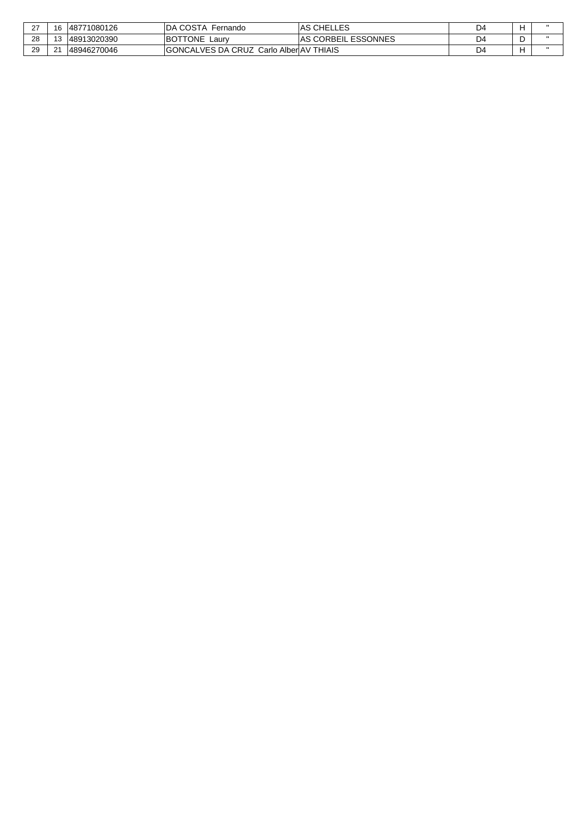| $\sim$ | 48771080126<br>16 | IDA COSTA Fernando                             | <b>IAS CHELLES</b>       | D4 |  |
|--------|-------------------|------------------------------------------------|--------------------------|----|--|
| 28     | 48913020390       | <b>BOTTONE</b><br>Laurv                        | GORBEIL ESSONNES<br>.AS. | D4 |  |
| 29     | 21<br>48946270046 | <b>GONCALVES DA CRUZ Carlo AlberIAV THIAIS</b> |                          | D4 |  |